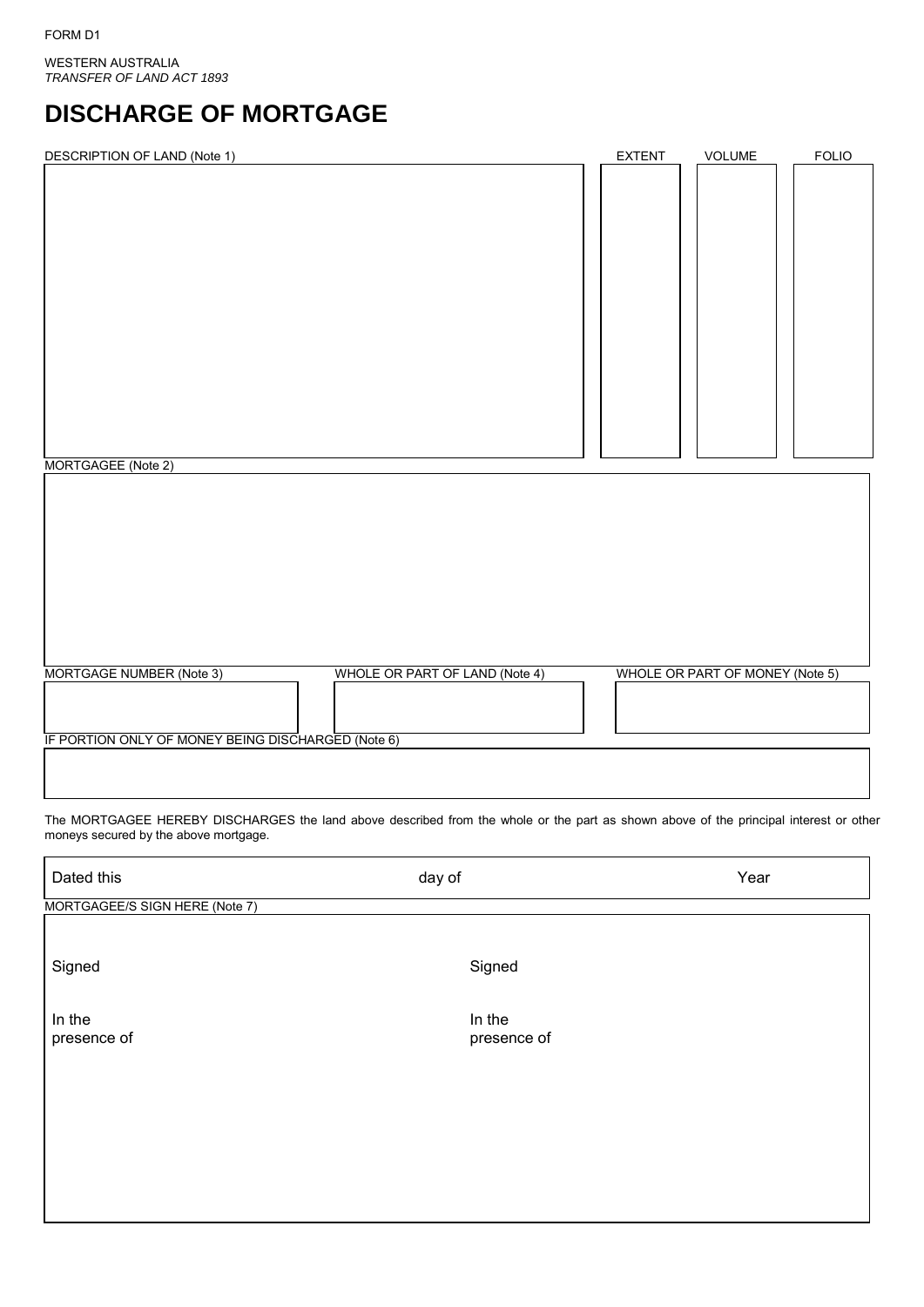WESTERN AUSTRALIA *TRANSFER OF LAND ACT 1893*

# **DISCHARGE OF MORTGAGE**

| <b>DESCRIPTION OF LAND (Note 1)</b> | <b>EXTENT</b> | VOLUME | <b>FOLIO</b> |
|-------------------------------------|---------------|--------|--------------|
|                                     |               |        |              |
|                                     |               |        |              |
|                                     |               |        |              |
|                                     |               |        |              |
|                                     |               |        |              |
|                                     |               |        |              |
|                                     |               |        |              |
|                                     |               |        |              |
|                                     |               |        |              |
|                                     |               |        |              |
|                                     |               |        |              |
|                                     |               |        |              |
|                                     |               |        |              |
|                                     |               |        |              |
|                                     |               |        |              |
|                                     |               |        |              |
| MORTGAGEE (Note 2)                  |               |        |              |
|                                     |               |        |              |

|  | IF PORTION ONLY OF MONEY BEING DISCHARGED (Note 6) |  |
|--|----------------------------------------------------|--|
|  |                                                    |  |

The MORTGAGEE HEREBY DISCHARGES the land above described from the whole or the part as shown above of the principal interest or other moneys secured by the above mortgage.

MORTGAGE NUMBER (Note 3) WHOLE OR PART OF LAND (Note 4) WHOLE OR PART OF MONEY (Note 5)

| Dated this                     | day of                | Year |
|--------------------------------|-----------------------|------|
| MORTGAGEE/S SIGN HERE (Note 7) |                       |      |
| Signed                         | Signed                |      |
| In the<br>presence of          | In the<br>presence of |      |
|                                |                       |      |
|                                |                       |      |
|                                |                       |      |